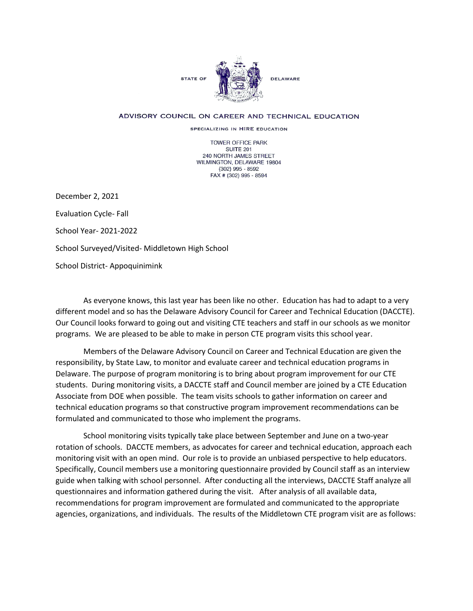

## ADVISORY COUNCIL ON CAREER AND TECHNICAL EDUCATION

SPECIALIZING IN HIRE EDUCATION

TOWER OFFICE PARK SUITE 201 240 NORTH JAMES STREET WILMINGTON, DELAWARE 19804 (302) 995 - 8592 FAX # (302) 995 - 8594

December 2, 2021

Evaluation Cycle- Fall

School Year- 2021-2022

School Surveyed/Visited- Middletown High School

School District- Appoquinimink

As everyone knows, this last year has been like no other. Education has had to adapt to a very different model and so has the Delaware Advisory Council for Career and Technical Education (DACCTE). Our Council looks forward to going out and visiting CTE teachers and staff in our schools as we monitor programs. We are pleased to be able to make in person CTE program visits this school year.

Members of the Delaware Advisory Council on Career and Technical Education are given the responsibility, by State Law, to monitor and evaluate career and technical education programs in Delaware. The purpose of program monitoring is to bring about program improvement for our CTE students. During monitoring visits, a DACCTE staff and Council member are joined by a CTE Education Associate from DOE when possible. The team visits schools to gather information on career and technical education programs so that constructive program improvement recommendations can be formulated and communicated to those who implement the programs.

School monitoring visits typically take place between September and June on a two-year rotation of schools. DACCTE members, as advocates for career and technical education, approach each monitoring visit with an open mind. Our role is to provide an unbiased perspective to help educators. Specifically, Council members use a monitoring questionnaire provided by Council staff as an interview guide when talking with school personnel. After conducting all the interviews, DACCTE Staff analyze all questionnaires and information gathered during the visit. After analysis of all available data, recommendations for program improvement are formulated and communicated to the appropriate agencies, organizations, and individuals. The results of the Middletown CTE program visit are as follows: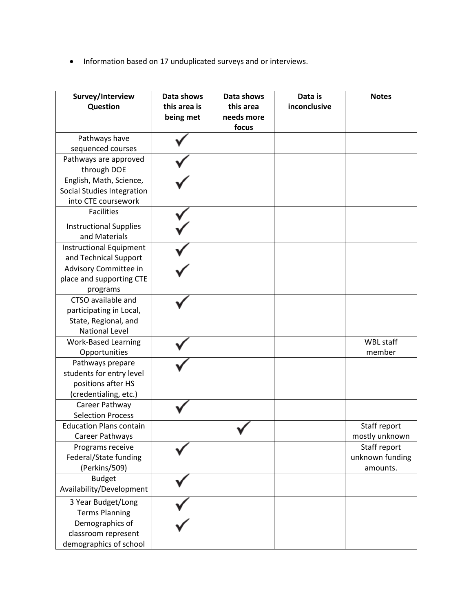• Information based on 17 unduplicated surveys and or interviews.

| Survey/Interview<br>Question                                                                   | Data shows<br>this area is<br>being met | Data shows<br>this area<br>needs more<br>focus | Data is<br>inconclusive | <b>Notes</b>                                |
|------------------------------------------------------------------------------------------------|-----------------------------------------|------------------------------------------------|-------------------------|---------------------------------------------|
| Pathways have                                                                                  |                                         |                                                |                         |                                             |
| sequenced courses                                                                              |                                         |                                                |                         |                                             |
| Pathways are approved<br>through DOE                                                           |                                         |                                                |                         |                                             |
| English, Math, Science,<br>Social Studies Integration<br>into CTE coursework                   |                                         |                                                |                         |                                             |
| <b>Facilities</b>                                                                              |                                         |                                                |                         |                                             |
| <b>Instructional Supplies</b><br>and Materials                                                 |                                         |                                                |                         |                                             |
| Instructional Equipment<br>and Technical Support                                               |                                         |                                                |                         |                                             |
| Advisory Committee in<br>place and supporting CTE<br>programs                                  |                                         |                                                |                         |                                             |
| CTSO available and<br>participating in Local,<br>State, Regional, and<br><b>National Level</b> |                                         |                                                |                         |                                             |
| <b>Work-Based Learning</b><br>Opportunities                                                    |                                         |                                                |                         | <b>WBL staff</b><br>member                  |
| Pathways prepare<br>students for entry level<br>positions after HS<br>(credentialing, etc.)    |                                         |                                                |                         |                                             |
| Career Pathway<br><b>Selection Process</b>                                                     |                                         |                                                |                         |                                             |
| <b>Education Plans contain</b><br>Career Pathways                                              |                                         |                                                |                         | Staff report<br>mostly unknown              |
| Programs receive<br>Federal/State funding<br>(Perkins/509)                                     |                                         |                                                |                         | Staff report<br>unknown funding<br>amounts. |
| <b>Budget</b><br>Availability/Development                                                      |                                         |                                                |                         |                                             |
| 3 Year Budget/Long<br><b>Terms Planning</b>                                                    |                                         |                                                |                         |                                             |
| Demographics of<br>classroom represent<br>demographics of school                               |                                         |                                                |                         |                                             |